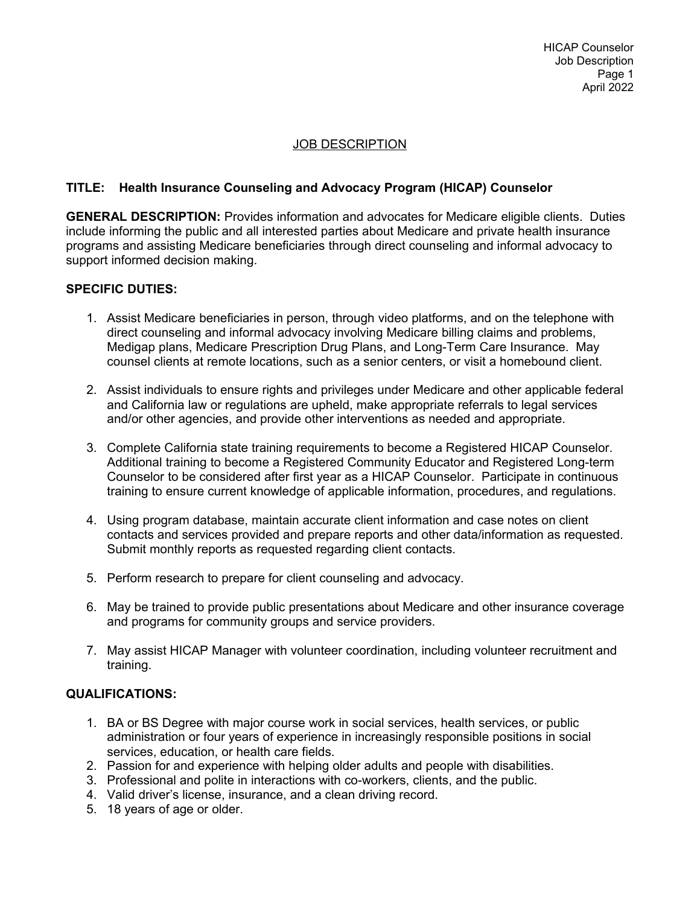# JOB DESCRIPTION

## **TITLE: Health Insurance Counseling and Advocacy Program (HICAP) Counselor**

**GENERAL DESCRIPTION:** Provides information and advocates for Medicare eligible clients. Duties include informing the public and all interested parties about Medicare and private health insurance programs and assisting Medicare beneficiaries through direct counseling and informal advocacy to support informed decision making.

### **SPECIFIC DUTIES:**

- 1. Assist Medicare beneficiaries in person, through video platforms, and on the telephone with direct counseling and informal advocacy involving Medicare billing claims and problems, Medigap plans, Medicare Prescription Drug Plans, and Long-Term Care Insurance. May counsel clients at remote locations, such as a senior centers, or visit a homebound client.
- 2. Assist individuals to ensure rights and privileges under Medicare and other applicable federal and California law or regulations are upheld, make appropriate referrals to legal services and/or other agencies, and provide other interventions as needed and appropriate.
- 3. Complete California state training requirements to become a Registered HICAP Counselor. Additional training to become a Registered Community Educator and Registered Long-term Counselor to be considered after first year as a HICAP Counselor. Participate in continuous training to ensure current knowledge of applicable information, procedures, and regulations.
- 4. Using program database, maintain accurate client information and case notes on client contacts and services provided and prepare reports and other data/information as requested. Submit monthly reports as requested regarding client contacts.
- 5. Perform research to prepare for client counseling and advocacy.
- 6. May be trained to provide public presentations about Medicare and other insurance coverage and programs for community groups and service providers.
- 7. May assist HICAP Manager with volunteer coordination, including volunteer recruitment and training.

## **QUALIFICATIONS:**

- 1. BA or BS Degree with major course work in social services, health services, or public administration or four years of experience in increasingly responsible positions in social services, education, or health care fields.
- 2. Passion for and experience with helping older adults and people with disabilities.
- 3. Professional and polite in interactions with co-workers, clients, and the public.
- 4. Valid driver's license, insurance, and a clean driving record.
- 5. 18 years of age or older.